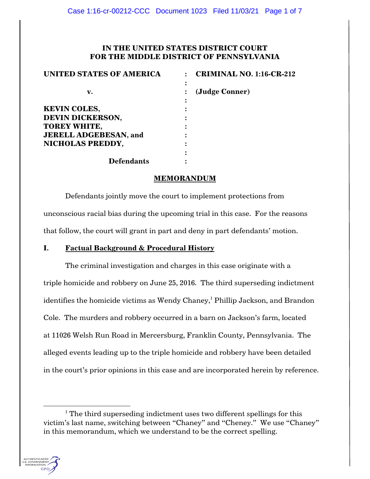# **IN THE UNITED STATES DISTRICT COURT FOR THE MIDDLE DISTRICT OF PENNSYLVANIA**

| <b>UNITED STATES OF AMERICA</b> | <b>CRIMINAL NO. 1:16-CR-212</b> |
|---------------------------------|---------------------------------|
| v.                              | ٠<br>(Judge Conner)             |
| <b>KEVIN COLES,</b>             |                                 |
| DEVIN DICKERSON,                |                                 |
| <b>TOREY WHITE,</b>             |                                 |
| <b>JERELL ADGEBESAN, and</b>    |                                 |
| NICHOLAS PREDDY,                |                                 |
|                                 |                                 |
| <b>Defendants</b>               |                                 |

## **MEMORANDUM**

Defendants jointly move the court to implement protections from unconscious racial bias during the upcoming trial in this case. For the reasons that follow, the court will grant in part and deny in part defendants' motion.

## **I. Factual Background & Procedural History**

The criminal investigation and charges in this case originate with a triple homicide and robbery on June 25, 2016. The third superseding indictment identifies the homicide victims as Wendy Chaney,<sup>1</sup> Phillip Jackson, and Brandon Cole. The murders and robbery occurred in a barn on Jackson's farm, located at 11026 Welsh Run Road in Mercersburg, Franklin County, Pennsylvania. The alleged events leading up to the triple homicide and robbery have been detailed in the court's prior opinions in this case and are incorporated herein by reference.

 $1$ <sup>1</sup> The third superseding indictment uses two different spellings for this victim's last name, switching between "Chaney" and "Cheney." We use "Chaney" in this memorandum, which we understand to be the correct spelling.

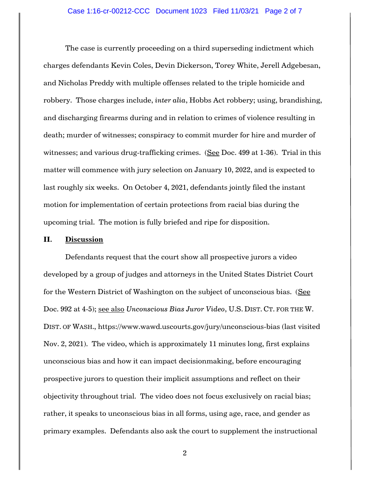The case is currently proceeding on a third superseding indictment which charges defendants Kevin Coles, Devin Dickerson, Torey White, Jerell Adgebesan, and Nicholas Preddy with multiple offenses related to the triple homicide and robbery. Those charges include, *inter alia*, Hobbs Act robbery; using, brandishing, and discharging firearms during and in relation to crimes of violence resulting in death; murder of witnesses; conspiracy to commit murder for hire and murder of witnesses; and various drug-trafficking crimes. (See Doc. 499 at 1-36). Trial in this matter will commence with jury selection on January 10, 2022, and is expected to last roughly six weeks. On October 4, 2021, defendants jointly filed the instant motion for implementation of certain protections from racial bias during the upcoming trial. The motion is fully briefed and ripe for disposition.

#### **II. Discussion**

Defendants request that the court show all prospective jurors a video developed by a group of judges and attorneys in the United States District Court for the Western District of Washington on the subject of unconscious bias. (See Doc. 992 at 4-5); see also *Unconscious Bias Juror Video*, U.S. DIST. CT. FOR THE W. DIST. OF WASH., https://www.wawd.uscourts.gov/jury/unconscious-bias (last visited Nov. 2, 2021). The video, which is approximately 11 minutes long, first explains unconscious bias and how it can impact decisionmaking, before encouraging prospective jurors to question their implicit assumptions and reflect on their objectivity throughout trial. The video does not focus exclusively on racial bias; rather, it speaks to unconscious bias in all forms, using age, race, and gender as primary examples. Defendants also ask the court to supplement the instructional

2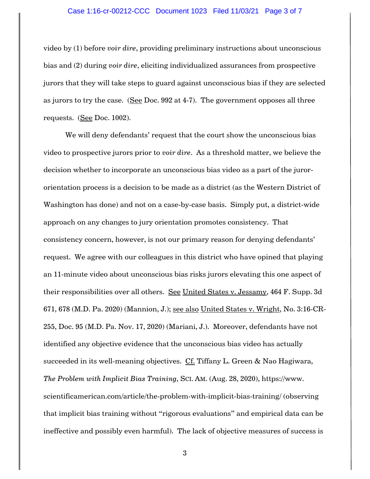#### Case 1:16-cr-00212-CCC Document 1023 Filed 11/03/21 Page 3 of 7

video by (1) before *voir dire*, providing preliminary instructions about unconscious bias and (2) during *voir dire*, eliciting individualized assurances from prospective jurors that they will take steps to guard against unconscious bias if they are selected as jurors to try the case. (See Doc. 992 at 4-7). The government opposes all three requests. (See Doc. 1002).

We will deny defendants' request that the court show the unconscious bias video to prospective jurors prior to *voir dire*. As a threshold matter, we believe the decision whether to incorporate an unconscious bias video as a part of the jurororientation process is a decision to be made as a district (as the Western District of Washington has done) and not on a case-by-case basis. Simply put, a district-wide approach on any changes to jury orientation promotes consistency. That consistency concern, however, is not our primary reason for denying defendants' request. We agree with our colleagues in this district who have opined that playing an 11-minute video about unconscious bias risks jurors elevating this one aspect of their responsibilities over all others. See United States v. Jessamy, 464 F. Supp. 3d 671, 678 (M.D. Pa. 2020) (Mannion, J.); see also United States v. Wright, No. 3:16-CR-255, Doc. 95 (M.D. Pa. Nov. 17, 2020) (Mariani, J.). Moreover, defendants have not identified any objective evidence that the unconscious bias video has actually succeeded in its well-meaning objectives. Cf. Tiffany L. Green & Nao Hagiwara, *The Problem with Implicit Bias Training*, SCI. AM. (Aug. 28, 2020), https://www. scientificamerican.com/article/the-problem-with-implicit-bias-training/ (observing that implicit bias training without "rigorous evaluations" and empirical data can be ineffective and possibly even harmful). The lack of objective measures of success is

3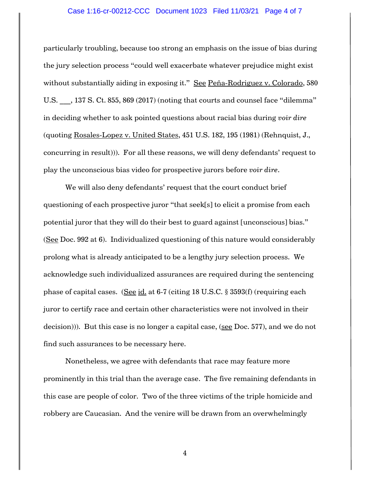#### Case 1:16-cr-00212-CCC Document 1023 Filed 11/03/21 Page 4 of 7

particularly troubling, because too strong an emphasis on the issue of bias during the jury selection process "could well exacerbate whatever prejudice might exist without substantially aiding in exposing it." See Peña-Rodriguez v. Colorado, 580 U.S.  $\ldots$ , 137 S. Ct. 855, 869 (2017) (noting that courts and counsel face "dilemma" in deciding whether to ask pointed questions about racial bias during *voir dire* (quoting Rosales-Lopez v. United States, 451 U.S. 182, 195 (1981) (Rehnquist, J., concurring in result))). For all these reasons, we will deny defendants' request to play the unconscious bias video for prospective jurors before *voir dire*.

We will also deny defendants' request that the court conduct brief questioning of each prospective juror "that seek[s] to elicit a promise from each potential juror that they will do their best to guard against [unconscious] bias." (See Doc. 992 at 6). Individualized questioning of this nature would considerably prolong what is already anticipated to be a lengthy jury selection process. We acknowledge such individualized assurances are required during the sentencing phase of capital cases. (See id. at 6-7 (citing 18 U.S.C. § 3593(f) (requiring each juror to certify race and certain other characteristics were not involved in their decision))). But this case is no longer a capital case, (see Doc. 577), and we do not find such assurances to be necessary here.

Nonetheless, we agree with defendants that race may feature more prominently in this trial than the average case. The five remaining defendants in this case are people of color. Two of the three victims of the triple homicide and robbery are Caucasian. And the venire will be drawn from an overwhelmingly

4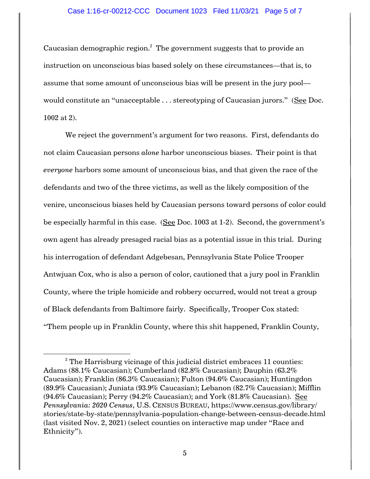### Case 1:16-cr-00212-CCC Document 1023 Filed 11/03/21 Page 5 of 7

Caucasian demographic region. $^2$  The government suggests that to provide an instruction on unconscious bias based solely on these circumstances—that is, to assume that some amount of unconscious bias will be present in the jury pool would constitute an "unacceptable . . . stereotyping of Caucasian jurors." (See Doc. 1002 at 2).

We reject the government's argument for two reasons. First, defendants do not claim Caucasian persons *alone* harbor unconscious biases. Their point is that *everyone* harbors some amount of unconscious bias, and that given the race of the defendants and two of the three victims, as well as the likely composition of the venire, unconscious biases held by Caucasian persons toward persons of color could be especially harmful in this case. (See Doc. 1003 at 1-2). Second, the government's own agent has already presaged racial bias as a potential issue in this trial. During his interrogation of defendant Adgebesan, Pennsylvania State Police Trooper Antwjuan Cox, who is also a person of color, cautioned that a jury pool in Franklin County, where the triple homicide and robbery occurred, would not treat a group of Black defendants from Baltimore fairly. Specifically, Trooper Cox stated: "Them people up in Franklin County, where this shit happened, Franklin County,

 $2$ <sup>2</sup> The Harrisburg vicinage of this judicial district embraces 11 counties: Adams (88.1% Caucasian); Cumberland (82.8% Caucasian); Dauphin (63.2% Caucasian); Franklin (86.3% Caucasian); Fulton (94.6% Caucasian); Huntingdon (89.9% Caucasian); Juniata (93.9% Caucasian); Lebanon (82.7% Caucasian); Mifflin  $(94.6\%$  Caucasian); Perry  $(94.2\%$  Caucasian); and York  $(81.8\%$  Caucasian). See *Pennsylvania: 2020 Census*, U.S. CENSUS BUREAU, https://www.census.gov/library/ stories/state-by-state/pennsylvania-population-change-between-census-decade.html (last visited Nov. 2, 2021) (select counties on interactive map under "Race and Ethnicity").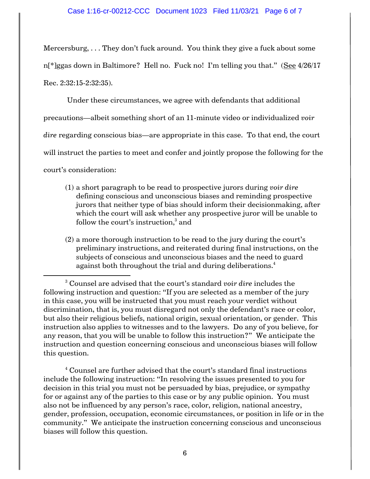Mercersburg, . . . They don't fuck around. You think they give a fuck about some n[\*]ggas down in Baltimore? Hell no. Fuck no! I'm telling you that." (See 4/26/17 Rec. 2:32:15-2:32:35).

Under these circumstances, we agree with defendants that additional precautions—albeit something short of an 11-minute video or individualized *voir dire* regarding conscious bias—are appropriate in this case. To that end, the court will instruct the parties to meet and confer and jointly propose the following for the court's consideration:

- (1) a short paragraph to be read to prospective jurors during *voir dire*  defining conscious and unconscious biases and reminding prospective jurors that neither type of bias should inform their decisionmaking, after which the court will ask whether any prospective juror will be unable to follow the court's instruction, $^3$  and
- (2) a more thorough instruction to be read to the jury during the court's preliminary instructions, and reiterated during final instructions, on the subjects of conscious and unconscious biases and the need to guard against both throughout the trial and during deliberations.<sup>4</sup>

 $^4$  Counsel are further advised that the court's standard final instructions include the following instruction: "In resolving the issues presented to you for decision in this trial you must not be persuaded by bias, prejudice, or sympathy for or against any of the parties to this case or by any public opinion. You must also not be influenced by any person's race, color, religion, national ancestry, gender, profession, occupation, economic circumstances, or position in life or in the community." We anticipate the instruction concerning conscious and unconscious biases will follow this question.

<sup>3</sup> Counsel are advised that the court's standard *voir dire* includes the following instruction and question: "If you are selected as a member of the jury in this case, you will be instructed that you must reach your verdict without discrimination, that is, you must disregard not only the defendant's race or color, but also their religious beliefs, national origin, sexual orientation, or gender. This instruction also applies to witnesses and to the lawyers. Do any of you believe, for any reason, that you will be unable to follow this instruction?" We anticipate the instruction and question concerning conscious and unconscious biases will follow this question.